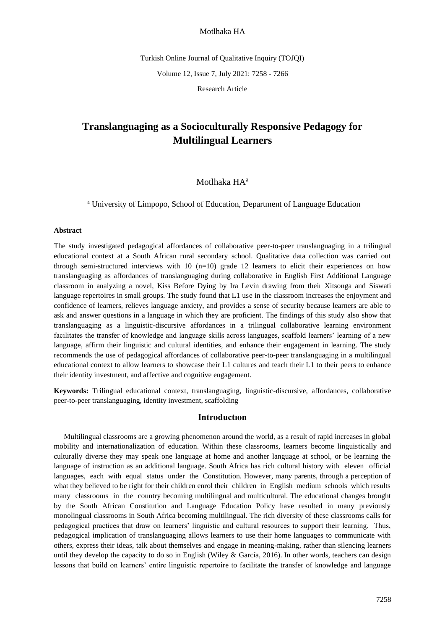Turkish Online Journal of Qualitative Inquiry (TOJQI)

Volume 12, Issue 7, July 2021: 7258 - 7266

Research Article

# **Translanguaging as a Socioculturally Responsive Pedagogy for Multilingual Learners**

# Motlhaka HA<sup>a</sup>

<sup>a</sup> University of Limpopo, School of Education, Department of Language Education

#### **Abstract**

The study investigated pedagogical affordances of collaborative peer-to-peer translanguaging in a trilingual educational context at a South African rural secondary school. Qualitative data collection was carried out through semi-structured interviews with  $10$  (n=10) grade 12 learners to elicit their experiences on how translanguaging as affordances of translanguaging during collaborative in English First Additional Language classroom in analyzing a novel, Kiss Before Dying by Ira Levin drawing from their Xitsonga and Siswati language repertoires in small groups. The study found that L1 use in the classroom increases the enjoyment and confidence of learners, relieves language anxiety, and provides a sense of security because learners are able to ask and answer questions in a language in which they are proficient. The findings of this study also show that translanguaging as a linguistic-discursive affordances in a trilingual collaborative learning environment facilitates the transfer of knowledge and language skills across languages, scaffold learners' learning of a new language, affirm their linguistic and cultural identities, and enhance their engagement in learning. The study recommends the use of pedagogical affordances of collaborative peer-to-peer translanguaging in a multilingual educational context to allow learners to showcase their L1 cultures and teach their L1 to their peers to enhance their identity investment, and affective and cognitive engagement.

**Keywords:** Trilingual educational context, translanguaging, linguistic-discursive, affordances, collaborative peer-to-peer translanguaging, identity investment, scaffolding

### **Introductıon**

Multilingual classrooms are a growing phenomenon around the world, as a result of rapid increases in global mobility and internationalization of education. Within these classrooms, learners become linguistically and culturally diverse they may speak one language at home and another language at school, or be learning the language of instruction as an additional language. South Africa has rich cultural history with eleven official languages, each with equal status under the Constitution. However, many parents, through a perception of what they believed to be right for their children enrol their children in English medium schools which results many classrooms in the country becoming multilingual and multicultural. The educational changes brought by the South African Constitution and Language Education Policy have resulted in many previously monolingual classrooms in South Africa becoming multilingual. The rich diversity of these classrooms calls for pedagogical practices that draw on learners' linguistic and cultural resources to support their learning. Thus, pedagogical implication of translanguaging allows learners to use their home languages to communicate with others, express their ideas, talk about themselves and engage in meaning-making, rather than silencing learners until they develop the capacity to do so in English (Wiley & García, 2016). In other words, teachers can design lessons that build on learners' entire linguistic repertoire to facilitate the transfer of knowledge and language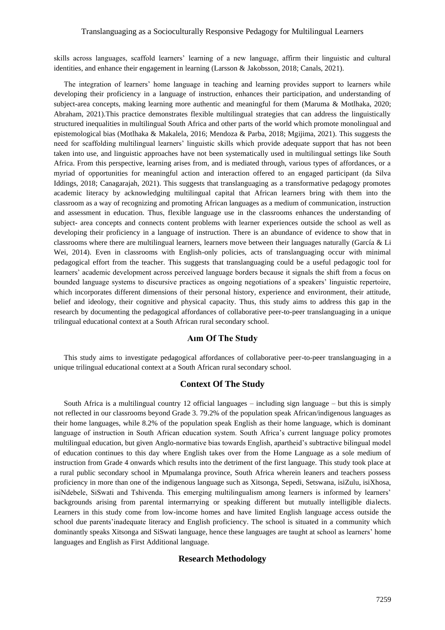### Translanguaging as a Socioculturally Responsive Pedagogy for Multilingual Learners

skills across languages, scaffold learners' learning of a new language, affirm their linguistic and cultural identities, and enhance their engagement in learning (Larsson & Jakobsson, 2018; Canals, 2021).

The integration of learners' home language in teaching and learning provides support to learners while developing their proficiency in a language of instruction, enhances their participation, and understanding of subject-area concepts, making learning more authentic and meaningful for them (Maruma & Motlhaka, 2020; Abraham, 2021).This practice demonstrates flexible multilingual strategies that can address the linguistically structured inequalities in multilingual South Africa and other parts of the world which promote monolingual and epistemological bias (Motlhaka & Makalela, 2016; Mendoza & Parba, 2018; Mgijima, 2021). This suggests the need for scaffolding multilingual learners' linguistic skills which provide adequate support that has not been taken into use, and linguistic approaches have not been systematically used in multilingual settings like South Africa. From this perspective, learning arises from, and is mediated through, various types of affordances, or a myriad of opportunities for meaningful action and interaction offered to an engaged participant (da Silva Iddings, 2018; Canagarajah, 2021). This suggests that translanguaging as a transformative pedagogy promotes academic literacy by acknowledging multilingual capital that African learners bring with them into the classroom as a way of recognizing and promoting African languages as a medium of communication, instruction and assessment in education. Thus, flexible language use in the classrooms enhances the understanding of subject- area concepts and connects content problems with learner experiences outside the school as well as developing their proficiency in a language of instruction. There is an abundance of evidence to show that in classrooms where there are multilingual learners, learners move between their languages naturally (García & Li Wei, 2014). Even in classrooms with English-only policies, acts of translanguaging occur with minimal pedagogical effort from the teacher. This suggests that translanguaging could be a useful pedagogic tool for learners' academic development across perceived language borders because it signals the shift from a focus on bounded language systems to discursive practices as ongoing negotiations of a speakers' linguistic repertoire, which incorporates different dimensions of their personal history, experience and environment, their attitude, belief and ideology, their cognitive and physical capacity. Thus, this study aims to address this gap in the research by documenting the pedagogical affordances of collaborative peer-to-peer translanguaging in a unique trilingual educational context at a South African rural secondary school.

# **Aım Of The Study**

This study aims to investigate pedagogical affordances of collaborative peer-to-peer translanguaging in a unique trilingual educational context at a South African rural secondary school.

# **Context Of The Study**

South Africa is a multilingual country 12 official languages – including sign language – but this is simply not reflected in our classrooms beyond Grade 3. 79.2% of the population speak African/indigenous languages as their home languages, while 8.2% of the population speak English as their home language, which is dominant language of instruction in South African education system. South Africa's current language policy promotes multilingual education, but given Anglo-normative bias towards English, apartheid's subtractive bilingual model of education continues to this day where English takes over from the Home Language as a sole medium of instruction from Grade 4 onwards which results into the detriment of the first language. This study took place at a rural public secondary school in Mpumalanga province, South Africa wherein leaners and teachers possess proficiency in more than one of the indigenous language such as Xitsonga, Sepedi, Setswana, isiZulu, isiXhosa, isiNdebele, SiSwati and Tshivenda. This emerging multilingualism among learners is informed by learners' backgrounds arising from parental intermarrying or speaking different but mutually intelligible dialects. Learners in this study come from low-income homes and have limited English language access outside the school due parents'inadequate literacy and English proficiency. The school is situated in a community which dominantly speaks Xitsonga and SiSwati language, hence these languages are taught at school as learners' home languages and English as First Additional language.

# **Research Methodology**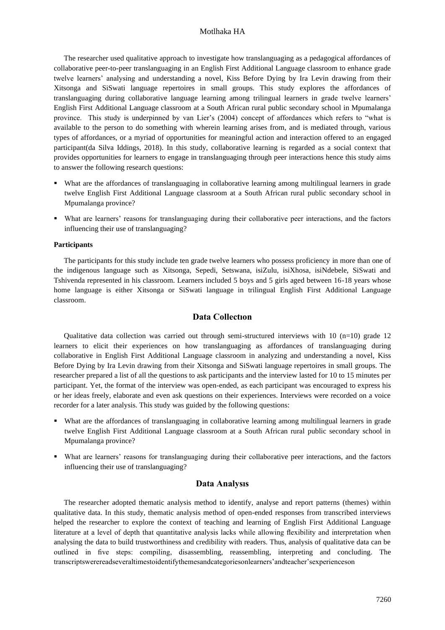The researcher used qualitative approach to investigate how translanguaging as a pedagogical affordances of collaborative peer-to-peer translanguaging in an English First Additional Language classroom to enhance grade twelve learners' analysing and understanding a novel, Kiss Before Dying by Ira Levin drawing from their Xitsonga and SiSwati language repertoires in small groups. This study explores the affordances of translanguaging during collaborative language learning among trilingual learners in grade twelve learners' English First Additional Language classroom at a South African rural public secondary school in Mpumalanga province. This study is underpinned by van Lier's (2004) concept of affordances which refers to "what is available to the person to do something with wherein learning arises from, and is mediated through, various types of affordances, or a myriad of opportunities for meaningful action and interaction offered to an engaged participant(da Silva Iddings, 2018). In this study, collaborative learning is regarded as a social context that provides opportunities for learners to engage in translanguaging through peer interactions hence this study aims to answer the following research questions:

- What are the affordances of translanguaging in collaborative learning among multilingual learners in grade twelve English First Additional Language classroom at a South African rural public secondary school in Mpumalanga province?
- What are learners' reasons for translanguaging during their collaborative peer interactions, and the factors influencing their use of translanguaging?

### **Participants**

The participants for this study include ten grade twelve learners who possess proficiency in more than one of the indigenous language such as Xitsonga, Sepedi, Setswana, isiZulu, isiXhosa, isiNdebele, SiSwati and Tshivenda represented in his classroom. Learners included 5 boys and 5 girls aged between 16-18 years whose home language is either Xitsonga or SiSwati language in trilingual English First Additional Language classroom.

# **Data Collectıon**

Qualitative data collection was carried out through semi-structured interviews with 10  $(n=10)$  grade 12 learners to elicit their experiences on how translanguaging as affordances of translanguaging during collaborative in English First Additional Language classroom in analyzing and understanding a novel, Kiss Before Dying by Ira Levin drawing from their Xitsonga and SiSwati language repertoires in small groups. The researcher prepared a list of all the questions to ask participants and the interview lasted for 10 to 15 minutes per participant. Yet, the format of the interview was open-ended, as each participant was encouraged to express his or her ideas freely, elaborate and even ask questions on their experiences. Interviews were recorded on a voice recorder for a later analysis. This study was guided by the following questions:

- What are the affordances of translanguaging in collaborative learning among multilingual learners in grade twelve English First Additional Language classroom at a South African rural public secondary school in Mpumalanga province?
- What are learners' reasons for translanguaging during their collaborative peer interactions, and the factors influencing their use of translanguaging?

### **Data Analysıs**

The researcher adopted thematic analysis method to identify, analyse and report patterns (themes) within qualitative data. In this study, thematic analysis method of open-ended responses from transcribed interviews helped the researcher to explore the context of teaching and learning of English First Additional Language literature at a level of depth that quantitative analysis lacks while allowing flexibility and interpretation when analysing the data to build trustworthiness and credibility with readers. Thus, analysis of qualitative data can be outlined in five steps: compiling, disassembling, reassembling, interpreting and concluding. The transcriptswerereadseveraltimestoidentifythemesandcategoriesonlearners'andteacher'sexperienceson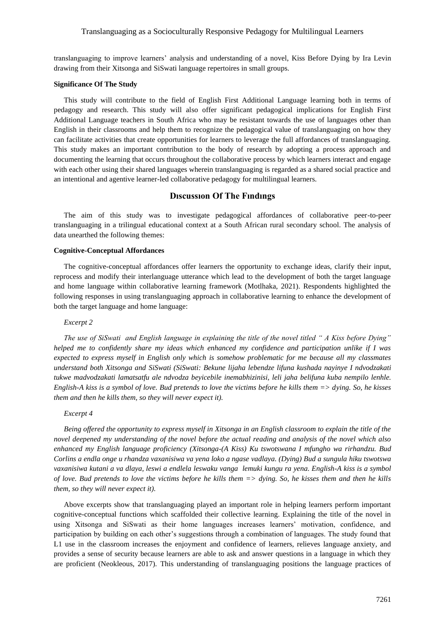translanguaging to improve learners' analysis and understanding of a novel, Kiss Before Dying by Ira Levin drawing from their Xitsonga and SiSwati language repertoires in small groups.

#### **Significance Of The Study**

This study will contribute to the field of English First Additional Language learning both in terms of pedagogy and research. This study will also offer significant pedagogical implications for English First Additional Language teachers in South Africa who may be resistant towards the use of languages other than English in their classrooms and help them to recognize the pedagogical value of translanguaging on how they can facilitate activities that create opportunities for learners to leverage the full affordances of translanguaging. This study makes an important contribution to the body of research by adopting a process approach and documenting the learning that occurs throughout the collaborative process by which learners interact and engage with each other using their shared languages wherein translanguaging is regarded as a shared social practice and an intentional and agentive learner-led collaborative pedagogy for multilingual learners.

# **Dıscussıon Of The Fındıngs**

The aim of this study was to investigate pedagogical affordances of collaborative peer-to-peer translanguaging in a trilingual educational context at a South African rural secondary school. The analysis of data unearthed the following themes:

### **Cognitive-Conceptual Affordances**

The cognitive-conceptual affordances offer learners the opportunity to exchange ideas, clarify their input, reprocess and modify their interlanguage utterance which lead to the development of both the target language and home language within collaborative learning framework (Motlhaka, 2021). Respondents highlighted the following responses in using translanguaging approach in collaborative learning to enhance the development of both the target language and home language:

#### *Excerpt 2*

*The use of SiSwati and English language in explaining the title of the novel titled " A Kiss before Dying" helped me to confidently share my ideas which enhanced my confidence and participation unlike if I was expected to express myself in English only which is somehow problematic for me because all my classmates understand both Xitsonga and SiSwati (SiSwati: Bekune lijaha lebendze lifuna kushada nayinye I ndvodzakati tukwe madvodzakati lamatsatfu ale ndvodza beyicebile inemabhizinisi, leli jaha belifuna kuba nempilo lenhle. English-A kiss is a symbol of love. Bud pretends to love the victims before he kills them => dying. So, he kisses them and then he kills them, so they will never expect it).*

#### *Excerpt 4*

*Being offered the opportunity to express myself in Xitsonga in an English classroom to explain the title of the novel deepened my understanding of the novel before the actual reading and analysis of the novel which also enhanced my English language proficiency (Xitsonga-(A Kiss) Ku tswotswana I mfungho wa rirhandzu. Bud Corlins a endla onge u rhandza vaxanisiwa va yena loko a ngase vadlaya. (Dying) Bud a sungula hiku tswotswa vaxanisiwa kutani a va dlaya, leswi a endlela leswaku vanga lemuki kungu ra yena. English-A kiss is a symbol of love. Bud pretends to love the victims before he kills them => dying. So, he kisses them and then he kills them, so they will never expect it).*

Above excerpts show that translanguaging played an important role in helping learners perform important cognitive-conceptual functions which scaffolded their collective learning. Explaining the title of the novel in using Xitsonga and SiSwati as their home languages increases learners' motivation, confidence, and participation by building on each other's suggestions through a combination of languages. The study found that L1 use in the classroom increases the enjoyment and confidence of learners, relieves language anxiety, and provides a sense of security because learners are able to ask and answer questions in a language in which they are proficient (Neokleous, 2017). This understanding of translanguaging positions the language practices of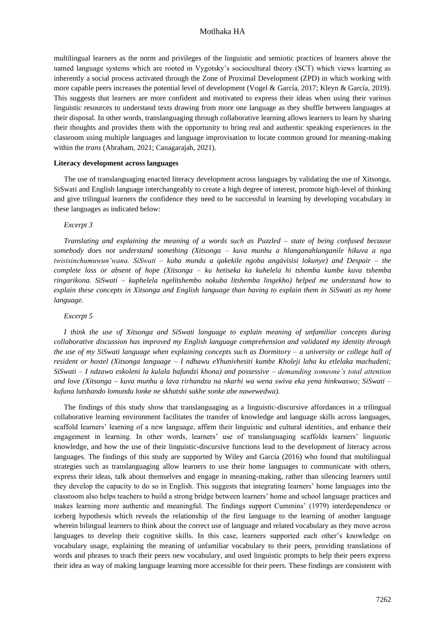multilingual learners as the norm and privileges of the linguistic and semiotic practices of learners above the named language systems which are rooted in Vygotsky's sociocultural theory (SCT) which views learning as inherently a social process activated through the Zone of Proximal Development (ZPD) in which working with more capable peers increases the potential level of development (Vogel & García, 2017; Kleyn & García, 2019). This suggests that learners are more confident and motivated to express their ideas when using their various linguistic resources to understand texts drawing from more one language as they shuffle between languages at their disposal. In other words, translanguaging through collaborative learning allows learners to learn by sharing their thoughts and provides them with the opportunity to bring real and authentic speaking experiences in the classroom using multiple languages and language improvisation to locate common ground for meaning-making within the *trans* (Abraham, 2021; Canagarajah, 2021).

#### **Literacy development across languages**

The use of translanguaging enacted literacy development across languages by validating the use of Xitsonga, SiSwati and English language interchangeably to create a high degree of interest, promote high-level of thinking and give trilingual learners the confidence they need to be successful in learning by developing vocabulary in these languages as indicated below:

### *Excerpt 3*

*Translating and explaining the meaning of a words such as Puzzled – state of being confused because somebody does not understand something (Xitsonga – kuva munhu a hlanganahlanganile hikuva a nga twisisinchumuwun'wana. SiSwati – kuba mundu a qakekile ngoba angávisisi lokunye) and Despair – the complete loss or absent of hope (Xitsonga – ku hetiseka ka kuhelela hi tshemba kumbe kuva tshemba ringarikona. SiSwati – kuphelela ngelitshembo nokuba litshemba lingekho) helped me understand how to explain these concepts in Xitsonga and English language than having to explain them in SiSwati as my home language.*

#### *Excerpt 5*

*I think the use of Xitsonga and SiSwati language to explain meaning of unfamiliar concepts during collaborative discussion has improved my English language comprehension and validated my identity through the use of my SiSwati language when explaining concepts such as Dormitory – a university or college hall of resident or hostel (Xitsonga language – I ndhawu eYhunivhesiti kumbe Kholeji laha ku etlelaka machudeni; SiSwati – I ndzawo eskoleni la kulala bafundzi khona) and possessive – demanding someone's total attention and love (Xitsonga – kuva munhu a lava rirhandzu na nkarhi wa wena swiva eka yena hinkwaswo; SiSwati – kufuna lutshando lomundu lonke ne skhatshi sakhe sonke abe nawewedwa).*

The findings of this study show that translanguaging as a linguistic-discursive affordances in a trilingual collaborative learning environment facilitates the transfer of knowledge and language skills across languages, scaffold learners' learning of a new language, affirm their linguistic and cultural identities, and enhance their engagement in learning. In other words, learners' use of translanguaging scaffolds learners' linguistic knowledge, and how the use of their linguistic-discursive functions lead to the development of literacy across languages. The findings of this study are supported by Wiley and García (2016) who found that multilingual strategies such as translanguaging allow learners to use their home languages to communicate with others, express their ideas, talk about themselves and engage in meaning-making, rather than silencing learners until they develop the capacity to do so in English. This suggests that integrating learners' home languages into the classroom also helps teachers to build a strong bridge between learners' home and school language practices and makes learning more authentic and meaningful. The findings support Cummins' (1979) interdependence or iceberg hypothesis which reveals the relationship of the first language to the learning of another language wherein bilingual learners to think about the correct use of language and related vocabulary as they move across languages to develop their cognitive skills. In this case, learners supported each other's knowledge on vocabulary usage, explaining the meaning of unfamiliar vocabulary to their peers, providing translations of words and phrases to teach their peers new vocabulary, and used linguistic prompts to help their peers express their idea as way of making language learning more accessible for their peers. These findings are consistent with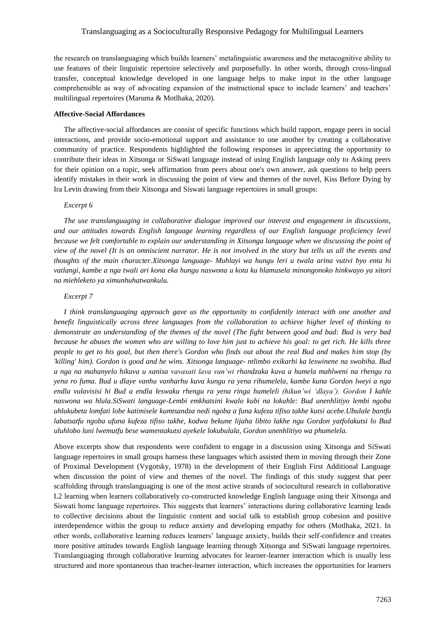### Translanguaging as a Socioculturally Responsive Pedagogy for Multilingual Learners

the research on translanguaging which builds learners' metalinguistic awareness and the metacognitive ability to use features of their linguistic repertoire selectively and purposefully. In other words, through cross-lingual transfer, conceptual knowledge developed in one language helps to make input in the other language comprehensible as way of advocating expansion of the instructional space to include learners' and teachers' multilingual repertoires (Maruma & Motlhaka, 2020).

#### **Affective-Social Affordances**

The affective-social affordances are consist of specific functions which build rapport, engage peers in social interactions, and provide socio-emotional support and assistance to one another by creating a collaborative community of practice. Respondents highlighted the following responses in appreciating the opportunity to contribute their ideas in Xitsonga or SiSwati language instead of using English language only to Asking peers for their opinion on a topic, seek affirmation from peers about one's own answer, ask questions to help peers identify mistakes in their work in discussing the point of view and themes of the novel, Kiss Before Dying by Ira Levin drawing from their Xitsonga and Siswati language repertoires in small groups:

#### *Excerpt 6*

*The use translanguaging in collaborative dialogue improved our interest and engagement in discussions, and our attitudes towards English language learning regardless of our English language proficiency level because we felt comfortable to explain our understanding in Xitsonga language when we discussing the point of view of the novel (It is an omniscient narrator. He is not involved in the story but tells us all the events and thoughts of the main character.Xitsonga language- Muhlayi wa hungu leri u twala arina vutivi byo enta hi vatlangi, kambe a nga twali ari kona eka hungu naswona u kota ku hlamusela minongonoko hinkwayo ya xitori na miehleketo ya ximunhuhatwankulu.*

#### *Excerpt 7*

*I think translanguaging approach gave us the opportunity to confidently interact with one another and benefit linguistically across three languages from the collaboration to achieve higher level of thinking to demonstrate an understanding of the themes of the novel (The fight between good and bad: Bud is very bad because he abuses the women who are willing to love him just to achieve his goal: to get rich. He kills three people to get to his goal, but then there's Gordon who finds out about the real Bud and makes him stop (by 'killing' him). Gordon is good and he wins. Xitsonga language- ntlimbo exikarhi ka leswinene na swobiha. Bud a nga na mahanyelo hikuva u xanisa vavasati lava van'wi rhandzaka kuva a humela mahlweni na rhengu ra yena ro fuma. Bud u dlaye vanhu vanharhu kuva kungu ra yena rihumelela, kambe kuna Gordon lweyi a nga endla vulavisisi hi Bud a endla leswaku rhengu ra yena ringa humeleli (hikun'wi 'dlaya'). Gordon I kahle naswona wa hlula.SiSwati language-Lembi emkhatsini kwalo kubi na lokuhle: Bud unenhlitiyo lembi ngoba uhlukubeta lomfati lobe katimisele kumtsandza nedi ngoba a funa kufeza tifiso takhe kutsi acebe.Ubulale bantfu labatsatfu ngoba ufuna kufeza tifiso takhe, kodwa bekune lijaha libito lakhe ngu Gordon yatfolakutsi lo Bud uluhlobo luni lwemutfu bese wamentakutsi ayekele lokubulala, Gordon unenhlitiyo wa phumelela.*

Above excerpts show that respondents were confident to engage in a discussion using Xitsonga and SiSwati language repertoires in small groups harness these languages which assisted them in moving through their Zone of Proximal Development (Vygotsky, 1978) in the development of their English First Additional Language when discussion the point of view and themes of the novel. The findings of this study suggest that peer scaffolding through translanguaging is one of the most active strands of sociocultural research in collaborative L2 learning when learners collaboratively co-constructed knowledge English language using their Xitsonga and Siswati home language repertoires. This suggests that learners' interactions during collaborative learning leads to collective decisions about the linguistic content and social talk to establish group cohesion and positive interdependence within the group to reduce anxiety and developing empathy for others (Motlhaka, 2021. In other words, collaborative learning reduces learners' language anxiety, builds their self-confidence and creates more positive attitudes towards English language learning through Xitsonga and SiSwati language repertoires. Translanguaging through collaborative learning advocates for learner-learner interaction which is usually less structured and more spontaneous than teacher-learner interaction, which increases the opportunities for learners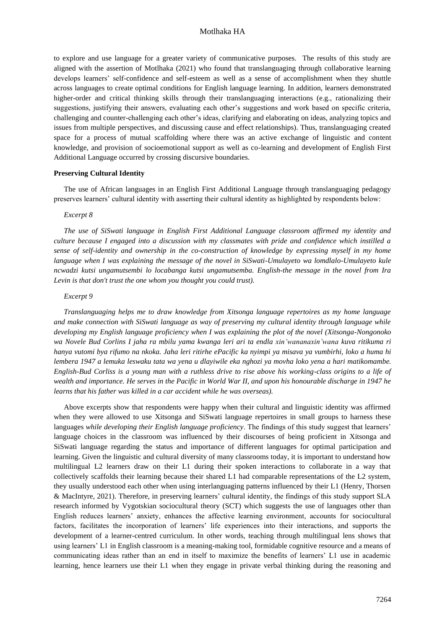to explore and use language for a greater variety of communicative purposes. The results of this study are aligned with the assertion of Motlhaka (2021) who found that translanguaging through collaborative learning develops learners' self-confidence and self-esteem as well as a sense of accomplishment when they shuttle across languages to create optimal conditions for English language learning. In addition, learners demonstrated higher-order and critical thinking skills through their translanguaging interactions (e.g., rationalizing their suggestions, justifying their answers, evaluating each other's suggestions and work based on specific criteria, challenging and counter-challenging each other's ideas, clarifying and elaborating on ideas, analyzing topics and issues from multiple perspectives, and discussing cause and effect relationships). Thus, translanguaging created space for a process of mutual scaffolding where there was an active exchange of linguistic and content knowledge, and provision of socioemotional support as well as co-learning and development of English First Additional Language occurred by crossing discursive boundaries.

#### **Preserving Cultural Identity**

The use of African languages in an English First Additional Language through translanguaging pedagogy preserves learners' cultural identity with asserting their cultural identity as highlighted by respondents below:

#### *Excerpt 8*

*The use of SiSwati language in English First Additional Language classroom affirmed my identity and culture because I engaged into a discussion with my classmates with pride and confidence which instilled a sense of self-identity and ownership in the co-construction of knowledge by expressing myself in my home language when I was explaining the message of the novel in SiSwati-Umulayeto wa lomdlalo-Umulayeto kule ncwadzi kutsi ungamutsembi lo locabanga kutsi ungamutsemba. English-the message in the novel from Ira Levin is that don't trust the one whom you thought you could trust).*

#### *Excerpt 9*

*Translanguaging helps me to draw knowledge from Xitsonga language repertoires as my home language and make connection with SiSwati language as way of preserving my cultural identity through language while developing my English language proficiency when I was explaining the plot of the novel (Xitsonga-Nongonoko wa Novele Bud Corlins I jaha ra mbilu yama kwanga leri ari ta endla xin'wananaxin'wana kuva ritikuma ri hanya vutomi bya rifumo na nkoka. Jaha leri ritirhe ePacific ka nyimpi ya misava ya vumbirhi, loko a huma hi lembera 1947 a lemuka leswaku tata wa yena u dlayiwile eka nghozi ya movha loko yena a hari matikomambe. English-Bud Corliss is a young man with a ruthless drive to rise above his working-class origins to a life of wealth and importance. He serves in the [Pacific](https://en.wikipedia.org/wiki/Pacific_Ocean_theater_of_World_War_II) in World War II, and upon his honourable discharge in 1947 he learns that his father was killed in a car accident while he was overseas).*

Above excerpts show that respondents were happy when their cultural and linguistic identity was affirmed when they were allowed to use Xitsonga and SiSwati language repertoires in small groups to harness these languages *while developing their English language proficiency*. The findings of this study suggest that learners' language choices in the classroom was influenced by their discourses of being proficient in Xitsonga and SiSwati language regarding the status and importance of different languages for optimal participation and learning. Given the linguistic and cultural diversity of many classrooms today, it is important to understand how multilingual L2 learners draw on their L1 during their spoken interactions to collaborate in a way that collectively scaffolds their learning because their shared L1 had comparable representations of the L2 system, they usually understood each other when using interlanguaging patterns influenced by their L1 (Henry, Thorsen & MacIntyre, 2021). Therefore, in preserving learners' cultural identity, the findings of this study support SLA research informed by Vygotskian sociocultural theory (SCT) which suggests the use of languages other than English reduces learners' anxiety, enhances the affective learning environment, accounts for sociocultural factors, facilitates the incorporation of learners' life experiences into their interactions, and supports the development of a learner-centred curriculum. In other words, teaching through multilingual lens shows that using learners' L1 in English classroom is a meaning-making tool, formidable cognitive resource and a means of communicating ideas rather than an end in itself to maximize the benefits of learners' L1 use in academic learning, hence learners use their L1 when they engage in private verbal thinking during the reasoning and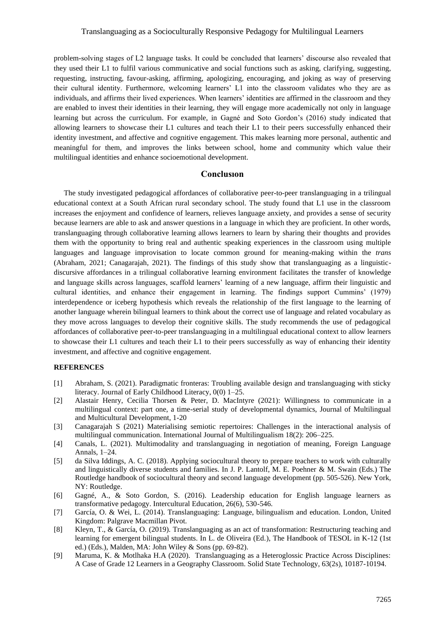### Translanguaging as a Socioculturally Responsive Pedagogy for Multilingual Learners

problem-solving stages of L2 language tasks. It could be concluded that learners' discourse also revealed that they used their L1 to fulfil various communicative and social functions such as asking, clarifying, suggesting, requesting, instructing, favour-asking, affirming, apologizing, encouraging, and joking as way of preserving their cultural identity. Furthermore, welcoming learners' L1 into the classroom validates who they are as individuals, and affirms their lived experiences. When learners' identities are affirmed in the classroom and they are enabled to invest their identities in their learning, they will engage more academically not only in language learning but across the curriculum. For example, in Gagné and Soto Gordon's (2016) study indicated that allowing learners to showcase their L1 cultures and teach their L1 to their peers successfully enhanced their identity investment, and affective and cognitive engagement. This makes learning more personal, authentic and meaningful for them, and improves the links between school, home and community which value their multilingual identities and enhance socioemotional development.

### **Conclusıon**

The study investigated pedagogical affordances of collaborative peer-to-peer translanguaging in a trilingual educational context at a South African rural secondary school. The study found that L1 use in the classroom increases the enjoyment and confidence of learners, relieves language anxiety, and provides a sense of security because learners are able to ask and answer questions in a language in which they are proficient. In other words, translanguaging through collaborative learning allows learners to learn by sharing their thoughts and provides them with the opportunity to bring real and authentic speaking experiences in the classroom using multiple languages and language improvisation to locate common ground for meaning-making within the *trans* (Abraham, 2021; Canagarajah, 2021). The findings of this study show that translanguaging as a linguisticdiscursive affordances in a trilingual collaborative learning environment facilitates the transfer of knowledge and language skills across languages, scaffold learners' learning of a new language, affirm their linguistic and cultural identities, and enhance their engagement in learning. The findings support Cummins' (1979) interdependence or iceberg hypothesis which reveals the relationship of the first language to the learning of another language wherein bilingual learners to think about the correct use of language and related vocabulary as they move across languages to develop their cognitive skills. The study recommends the use of pedagogical affordances of collaborative peer-to-peer translanguaging in a multilingual educational context to allow learners to showcase their L1 cultures and teach their L1 to their peers successfully as way of enhancing their identity investment, and affective and cognitive engagement.

### **REFERENCES**

- [1] Abraham, S. (2021). Paradigmatic fronteras: Troubling available design and translanguaging with sticky literacy. Journal of Early Childhood Literacy, 0(0) 1–25.
- [2] Alastair Henry, Cecilia Thorsen & Peter, D. MacIntyre (2021): Willingness to communicate in a multilingual context: part one, a time-serial study of developmental dynamics, Journal of Multilingual and Multicultural Development, 1-20
- [3] Canagarajah S (2021) Materialising semiotic repertoires: Challenges in the interactional analysis of multilingual communication. International Journal of Multilingualism 18(2): 206–225.
- [4] Canals, L. (2021). Multimodality and translanguaging in negotiation of meaning, Foreign Language Annals, 1–24.
- [5] da Silva Iddings, A. C. (2018). Applying sociocultural theory to prepare teachers to work with culturally and linguistically diverse students and families. In J. P. Lantolf, M. E. Poehner & M. Swain (Eds.) The Routledge handbook of sociocultural theory and second language development (pp. 505-526). New York, NY: Routledge.
- [6] Gagné, A., & Soto Gordon, S. (2016). Leadership education for English language learners as transformative pedagogy. Intercultural Education, 26(6), 530-546.
- [7] García, O. & Wei, L. (2014). Translanguaging: Language, bilingualism and education. London, United Kingdom: Palgrave Macmillan Pivot.
- [8] Kleyn, T., & García, O. (2019). Translanguaging as an act of transformation: Restructuring teaching and learning for emergent bilingual students. In L. de Oliveira (Ed.), The Handbook of TESOL in K-12 (1st ed.) (Eds.), Malden, MA: John Wiley & Sons (pp. 69-82).
- [9] Maruma, K. & Motlhaka H.A (2020). Translanguaging as a Heteroglossic Practice Across Disciplines: A Case of Grade 12 Learners in a Geography Classroom. Solid State Technology, 63(2s), 10187-10194.